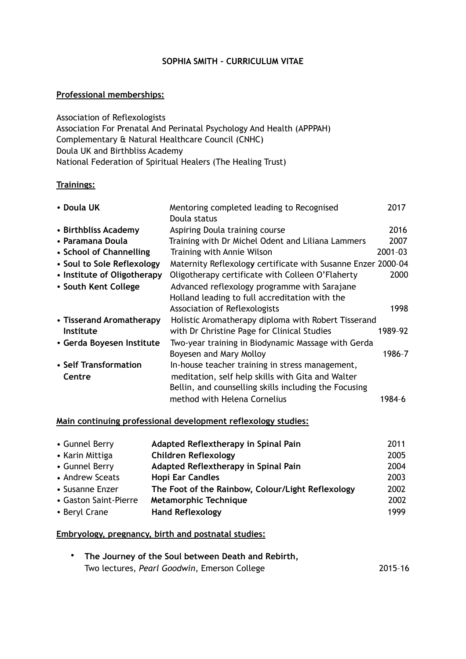# **SOPHIA SMITH – CURRICULUM VITAE**

## **Professional memberships:**

Association of Reflexologists Association For Prenatal And Perinatal Psychology And Health (APPPAH) Complementary & Natural Healthcare Council (CNHC) Doula UK and Birthbliss Academy National Federation of Spiritual Healers (The Healing Trust)

## **Trainings:**

| Mentoring completed leading to Recognised<br>Doula status | 2017                                                                                                                |
|-----------------------------------------------------------|---------------------------------------------------------------------------------------------------------------------|
| Aspiring Doula training course                            | 2016                                                                                                                |
| Training with Dr Michel Odent and Liliana Lammers         | 2007                                                                                                                |
| Training with Annie Wilson                                | 2001-03                                                                                                             |
|                                                           |                                                                                                                     |
| Oligotherapy certificate with Colleen O'Flaherty          | 2000                                                                                                                |
| Advanced reflexology programme with Sarajane              |                                                                                                                     |
| Holland leading to full accreditation with the            |                                                                                                                     |
| Association of Reflexologists                             | 1998                                                                                                                |
|                                                           |                                                                                                                     |
| with Dr Christine Page for Clinical Studies               | 1989-92                                                                                                             |
| Two-year training in Biodynamic Massage with Gerda        |                                                                                                                     |
| Boyesen and Mary Molloy                                   | 1986-7                                                                                                              |
| In-house teacher training in stress management,           |                                                                                                                     |
| meditation, self help skills with Gita and Walter         |                                                                                                                     |
| Bellin, and counselling skills including the Focusing     |                                                                                                                     |
| method with Helena Cornelius                              | 1984-6                                                                                                              |
|                                                           | Maternity Reflexology certificate with Susanne Enzer 2000-04<br>Holistic Aromatherapy diploma with Robert Tisserand |

## **Main continuing professional development reflexology studies:**

| • Gunnel Berry        | Adapted Reflextherapy in Spinal Pain              | 2011 |
|-----------------------|---------------------------------------------------|------|
| • Karin Mittiga       | <b>Children Reflexology</b>                       | 2005 |
| • Gunnel Berry        | Adapted Reflextherapy in Spinal Pain              | 2004 |
| • Andrew Sceats       | <b>Hopi Ear Candles</b>                           | 2003 |
| • Susanne Enzer       | The Foot of the Rainbow, Colour/Light Reflexology | 2002 |
| • Gaston Saint-Pierre | <b>Metamorphic Technique</b>                      | 2002 |
| • Beryl Crane         | <b>Hand Reflexology</b>                           | 1999 |

#### **Embryology, pregnancy, birth and postnatal studies:**

| • The Journey of the Soul between Death and Rebirth, |         |
|------------------------------------------------------|---------|
| Two lectures, Pearl Goodwin, Emerson College         | 2015-16 |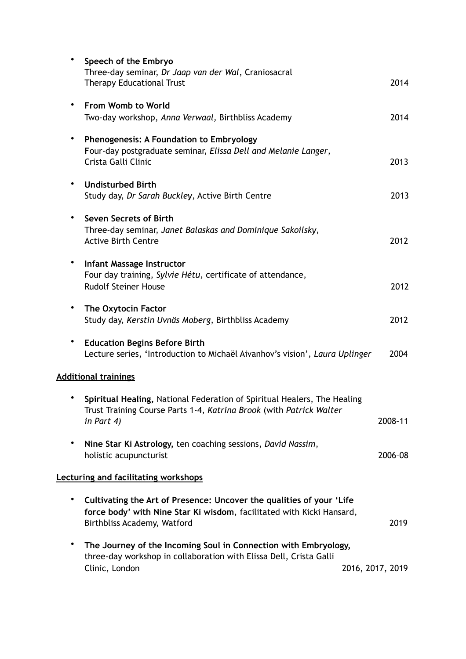| $\bullet$ | Speech of the Embryo<br>Three-day seminar, Dr Jaap van der Wal, Craniosacral<br><b>Therapy Educational Trust</b>                                                             | 2014             |
|-----------|------------------------------------------------------------------------------------------------------------------------------------------------------------------------------|------------------|
|           | From Womb to World<br>Two-day workshop, Anna Verwaal, Birthbliss Academy                                                                                                     | 2014             |
| ٠         | <b>Phenogenesis: A Foundation to Embryology</b><br>Four-day postgraduate seminar, Elissa Dell and Melanie Langer,<br>Crista Galli Clinic                                     | 2013             |
|           | <b>Undisturbed Birth</b><br>Study day, Dr Sarah Buckley, Active Birth Centre                                                                                                 | 2013             |
|           | Seven Secrets of Birth<br>Three-day seminar, Janet Balaskas and Dominique Sakoilsky,<br><b>Active Birth Centre</b>                                                           | 2012             |
|           | <b>Infant Massage Instructor</b><br>Four day training, Sylvie Hétu, certificate of attendance,<br><b>Rudolf Steiner House</b>                                                | 2012             |
|           | The Oxytocin Factor<br>Study day, Kerstin Uvnäs Moberg, Birthbliss Academy                                                                                                   | 2012             |
| ٠         | <b>Education Begins Before Birth</b><br>Lecture series, 'Introduction to Michaël Aivanhov's vision', Laura Uplinger                                                          | 2004             |
|           | <b>Additional trainings</b>                                                                                                                                                  |                  |
|           | Spiritual Healing, National Federation of Spiritual Healers, The Healing<br>Trust Training Course Parts 1-4, <i>Katrina Brook (with Patrick Walter</i><br>in Part 4)         | 2008-11          |
|           | Nine Star Ki Astrology, ten coaching sessions, David Nassim,<br>holistic acupuncturist                                                                                       | 2006-08          |
|           | <b>Lecturing and facilitating workshops</b>                                                                                                                                  |                  |
|           | Cultivating the Art of Presence: Uncover the qualities of your 'Life<br>force body' with Nine Star Ki wisdom, facilitated with Kicki Hansard,<br>Birthbliss Academy, Watford | 2019             |
| ٠         | The Journey of the Incoming Soul in Connection with Embryology,<br>three-day workshop in collaboration with Elissa Dell, Crista Galli<br>Clinic, London                      | 2016, 2017, 2019 |
|           |                                                                                                                                                                              |                  |